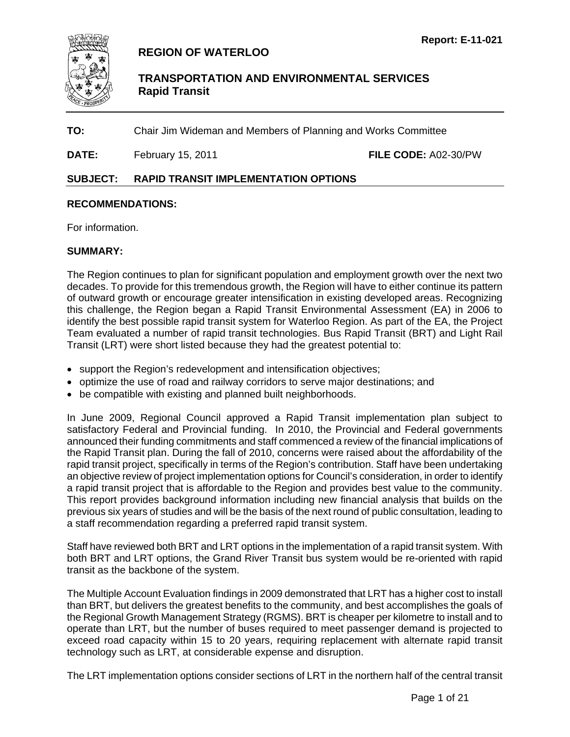

# **REGION OF WATERLOO**

 **TRANSPORTATION AND ENVIRONMENTAL SERVICES Rapid Transit**

**TO:** Chair Jim Wideman and Members of Planning and Works Committee

**DATE:** February 15, 2011 **FILE CODE:** A02-30/PW

### **SUBJECT: RAPID TRANSIT IMPLEMENTATION OPTIONS**

#### **RECOMMENDATIONS:**

For information.

#### **SUMMARY:**

The Region continues to plan for significant population and employment growth over the next two decades. To provide for this tremendous growth, the Region will have to either continue its pattern of outward growth or encourage greater intensification in existing developed areas. Recognizing this challenge, the Region began a Rapid Transit Environmental Assessment (EA) in 2006 to identify the best possible rapid transit system for Waterloo Region. As part of the EA, the Project Team evaluated a number of rapid transit technologies. Bus Rapid Transit (BRT) and Light Rail Transit (LRT) were short listed because they had the greatest potential to:

- support the Region's redevelopment and intensification objectives;
- optimize the use of road and railway corridors to serve major destinations; and
- be compatible with existing and planned built neighborhoods.

In June 2009, Regional Council approved a Rapid Transit implementation plan subject to satisfactory Federal and Provincial funding. In 2010, the Provincial and Federal governments announced their funding commitments and staff commenced a review of the financial implications of the Rapid Transit plan. During the fall of 2010, concerns were raised about the affordability of the rapid transit project, specifically in terms of the Region's contribution. Staff have been undertaking an objective review of project implementation options for Council's consideration, in order to identify a rapid transit project that is affordable to the Region and provides best value to the community. This report provides background information including new financial analysis that builds on the previous six years of studies and will be the basis of the next round of public consultation, leading to a staff recommendation regarding a preferred rapid transit system.

Staff have reviewed both BRT and LRT options in the implementation of a rapid transit system. With both BRT and LRT options, the Grand River Transit bus system would be re-oriented with rapid transit as the backbone of the system.

The Multiple Account Evaluation findings in 2009 demonstrated that LRT has a higher cost to install than BRT, but delivers the greatest benefits to the community, and best accomplishes the goals of the Regional Growth Management Strategy (RGMS). BRT is cheaper per kilometre to install and to operate than LRT, but the number of buses required to meet passenger demand is projected to exceed road capacity within 15 to 20 years, requiring replacement with alternate rapid transit technology such as LRT, at considerable expense and disruption.

The LRT implementation options consider sections of LRT in the northern half of the central transit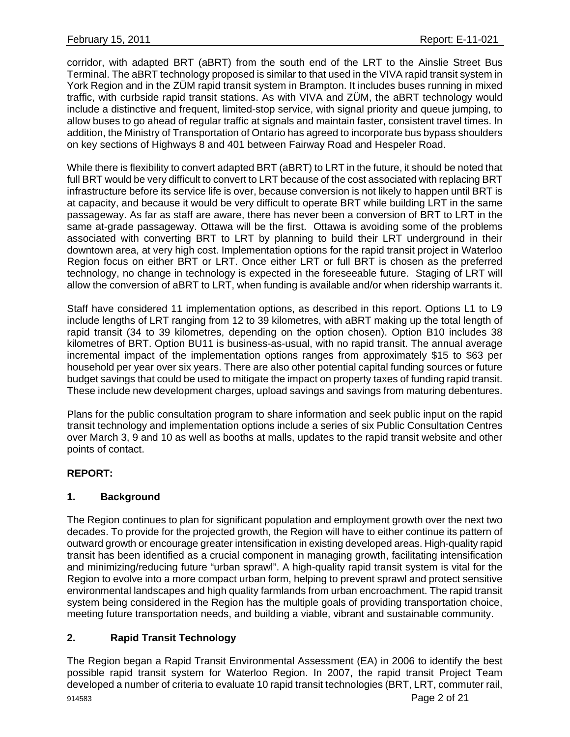corridor, with adapted BRT (aBRT) from the south end of the LRT to the Ainslie Street Bus Terminal. The aBRT technology proposed is similar to that used in the VIVA rapid transit system in York Region and in the ZÜM rapid transit system in Brampton. It includes buses running in mixed traffic, with curbside rapid transit stations. As with VIVA and ZÜM, the aBRT technology would include a distinctive and frequent, limited-stop service, with signal priority and queue jumping, to allow buses to go ahead of regular traffic at signals and maintain faster, consistent travel times. In addition, the Ministry of Transportation of Ontario has agreed to incorporate bus bypass shoulders on key sections of Highways 8 and 401 between Fairway Road and Hespeler Road.

While there is flexibility to convert adapted BRT (aBRT) to LRT in the future, it should be noted that full BRT would be very difficult to convert to LRT because of the cost associated with replacing BRT infrastructure before its service life is over, because conversion is not likely to happen until BRT is at capacity, and because it would be very difficult to operate BRT while building LRT in the same passageway. As far as staff are aware, there has never been a conversion of BRT to LRT in the same at-grade passageway. Ottawa will be the first. Ottawa is avoiding some of the problems associated with converting BRT to LRT by planning to build their LRT underground in their downtown area, at very high cost. Implementation options for the rapid transit project in Waterloo Region focus on either BRT or LRT. Once either LRT or full BRT is chosen as the preferred technology, no change in technology is expected in the foreseeable future. Staging of LRT will allow the conversion of aBRT to LRT, when funding is available and/or when ridership warrants it.

Staff have considered 11 implementation options, as described in this report. Options L1 to L9 include lengths of LRT ranging from 12 to 39 kilometres, with aBRT making up the total length of rapid transit (34 to 39 kilometres, depending on the option chosen). Option B10 includes 38 kilometres of BRT. Option BU11 is business-as-usual, with no rapid transit. The annual average incremental impact of the implementation options ranges from approximately \$15 to \$63 per household per year over six years. There are also other potential capital funding sources or future budget savings that could be used to mitigate the impact on property taxes of funding rapid transit. These include new development charges, upload savings and savings from maturing debentures.

Plans for the public consultation program to share information and seek public input on the rapid transit technology and implementation options include a series of six Public Consultation Centres over March 3, 9 and 10 as well as booths at malls, updates to the rapid transit website and other points of contact.

## **REPORT:**

## **1. Background**

The Region continues to plan for significant population and employment growth over the next two decades. To provide for the projected growth, the Region will have to either continue its pattern of outward growth or encourage greater intensification in existing developed areas. High-quality rapid transit has been identified as a crucial component in managing growth, facilitating intensification and minimizing/reducing future "urban sprawl". A high-quality rapid transit system is vital for the Region to evolve into a more compact urban form, helping to prevent sprawl and protect sensitive environmental landscapes and high quality farmlands from urban encroachment. The rapid transit system being considered in the Region has the multiple goals of providing transportation choice, meeting future transportation needs, and building a viable, vibrant and sustainable community.

## **2. Rapid Transit Technology**

The Region began a Rapid Transit Environmental Assessment (EA) in 2006 to identify the best possible rapid transit system for Waterloo Region. In 2007, the rapid transit Project Team developed a number of criteria to evaluate 10 rapid transit technologies (BRT, LRT, commuter rail,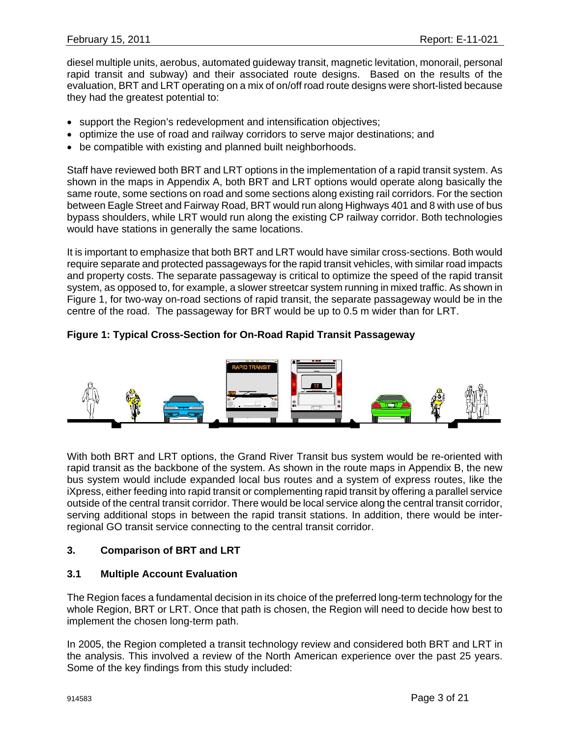diesel multiple units, aerobus, automated guideway transit, magnetic levitation, monorail, personal rapid transit and subway) and their associated route designs. Based on the results of the evaluation, BRT and LRT operating on a mix of on/off road route designs were short-listed because they had the greatest potential to:

- support the Region's redevelopment and intensification objectives;
- optimize the use of road and railway corridors to serve major destinations; and
- be compatible with existing and planned built neighborhoods.

Staff have reviewed both BRT and LRT options in the implementation of a rapid transit system. As shown in the maps in Appendix A, both BRT and LRT options would operate along basically the same route, some sections on road and some sections along existing rail corridors. For the section between Eagle Street and Fairway Road, BRT would run along Highways 401 and 8 with use of bus bypass shoulders, while LRT would run along the existing CP railway corridor. Both technologies would have stations in generally the same locations.

It is important to emphasize that both BRT and LRT would have similar cross-sections. Both would require separate and protected passageways for the rapid transit vehicles, with similar road impacts and property costs. The separate passageway is critical to optimize the speed of the rapid transit system, as opposed to, for example, a slower streetcar system running in mixed traffic. As shown in Figure 1, for two-way on-road sections of rapid transit, the separate passageway would be in the centre of the road. The passageway for BRT would be up to 0.5 m wider than for LRT.

## **Figure 1: Typical Cross-Section for On-Road Rapid Transit Passageway**



With both BRT and LRT options, the Grand River Transit bus system would be re-oriented with rapid transit as the backbone of the system. As shown in the route maps in Appendix B, the new bus system would include expanded local bus routes and a system of express routes, like the iXpress, either feeding into rapid transit or complementing rapid transit by offering a parallel service outside of the central transit corridor. There would be local service along the central transit corridor, serving additional stops in between the rapid transit stations. In addition, there would be interregional GO transit service connecting to the central transit corridor.

## **3. Comparison of BRT and LRT**

#### **3.1 Multiple Account Evaluation**

The Region faces a fundamental decision in its choice of the preferred long-term technology for the whole Region, BRT or LRT. Once that path is chosen, the Region will need to decide how best to implement the chosen long-term path.

In 2005, the Region completed a transit technology review and considered both BRT and LRT in the analysis. This involved a review of the North American experience over the past 25 years. Some of the key findings from this study included: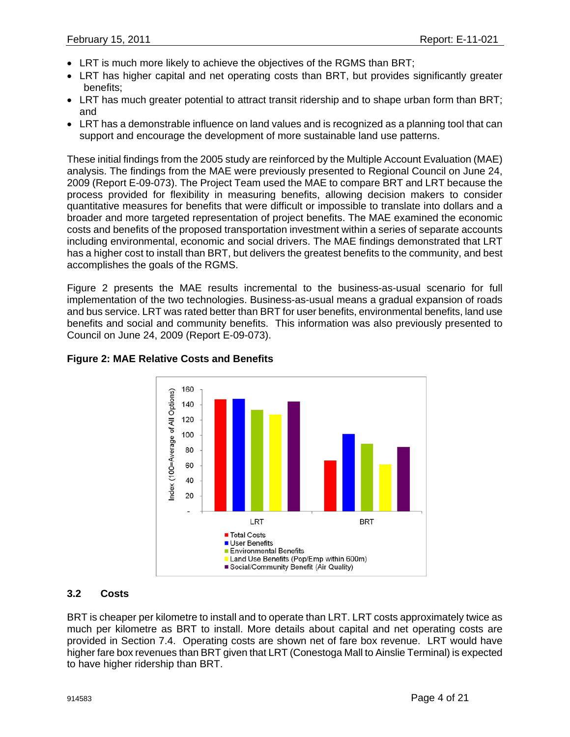- LRT is much more likely to achieve the objectives of the RGMS than BRT;
- LRT has higher capital and net operating costs than BRT, but provides significantly greater benefits;
- LRT has much greater potential to attract transit ridership and to shape urban form than BRT; and
- LRT has a demonstrable influence on land values and is recognized as a planning tool that can support and encourage the development of more sustainable land use patterns.

These initial findings from the 2005 study are reinforced by the Multiple Account Evaluation (MAE) analysis. The findings from the MAE were previously presented to Regional Council on June 24, 2009 (Report E-09-073). The Project Team used the MAE to compare BRT and LRT because the process provided for flexibility in measuring benefits, allowing decision makers to consider quantitative measures for benefits that were difficult or impossible to translate into dollars and a broader and more targeted representation of project benefits. The MAE examined the economic costs and benefits of the proposed transportation investment within a series of separate accounts including environmental, economic and social drivers. The MAE findings demonstrated that LRT has a higher cost to install than BRT, but delivers the greatest benefits to the community, and best accomplishes the goals of the RGMS.

Figure 2 presents the MAE results incremental to the business-as-usual scenario for full implementation of the two technologies. Business-as-usual means a gradual expansion of roads and bus service. LRT was rated better than BRT for user benefits, environmental benefits, land use benefits and social and community benefits. This information was also previously presented to Council on June 24, 2009 (Report E-09-073).



# **Figure 2: MAE Relative Costs and Benefits**

## **3.2 Costs**

BRT is cheaper per kilometre to install and to operate than LRT. LRT costs approximately twice as much per kilometre as BRT to install. More details about capital and net operating costs are provided in Section 7.4. Operating costs are shown net of fare box revenue. LRT would have higher fare box revenues than BRT given that LRT (Conestoga Mall to Ainslie Terminal) is expected to have higher ridership than BRT.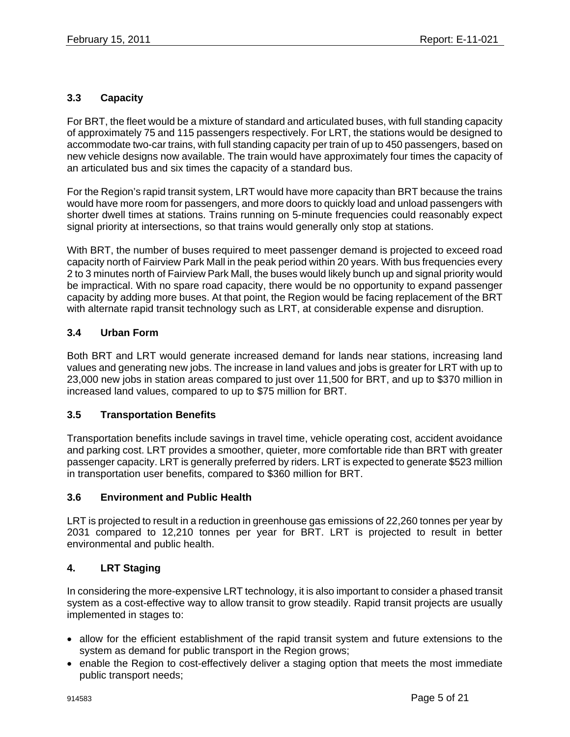# **3.3 Capacity**

For BRT, the fleet would be a mixture of standard and articulated buses, with full standing capacity of approximately 75 and 115 passengers respectively. For LRT, the stations would be designed to accommodate two-car trains, with full standing capacity per train of up to 450 passengers, based on new vehicle designs now available. The train would have approximately four times the capacity of an articulated bus and six times the capacity of a standard bus.

For the Region's rapid transit system, LRT would have more capacity than BRT because the trains would have more room for passengers, and more doors to quickly load and unload passengers with shorter dwell times at stations. Trains running on 5-minute frequencies could reasonably expect signal priority at intersections, so that trains would generally only stop at stations.

With BRT, the number of buses required to meet passenger demand is projected to exceed road capacity north of Fairview Park Mall in the peak period within 20 years. With bus frequencies every 2 to 3 minutes north of Fairview Park Mall, the buses would likely bunch up and signal priority would be impractical. With no spare road capacity, there would be no opportunity to expand passenger capacity by adding more buses. At that point, the Region would be facing replacement of the BRT with alternate rapid transit technology such as LRT, at considerable expense and disruption.

## **3.4 Urban Form**

Both BRT and LRT would generate increased demand for lands near stations, increasing land values and generating new jobs. The increase in land values and jobs is greater for LRT with up to 23,000 new jobs in station areas compared to just over 11,500 for BRT, and up to \$370 million in increased land values, compared to up to \$75 million for BRT.

#### **3.5 Transportation Benefits**

Transportation benefits include savings in travel time, vehicle operating cost, accident avoidance and parking cost. LRT provides a smoother, quieter, more comfortable ride than BRT with greater passenger capacity. LRT is generally preferred by riders. LRT is expected to generate \$523 million in transportation user benefits, compared to \$360 million for BRT.

#### **3.6 Environment and Public Health**

LRT is projected to result in a reduction in greenhouse gas emissions of 22,260 tonnes per year by 2031 compared to 12,210 tonnes per year for BRT. LRT is projected to result in better environmental and public health.

## **4. LRT Staging**

In considering the more-expensive LRT technology, it is also important to consider a phased transit system as a cost-effective way to allow transit to grow steadily. Rapid transit projects are usually implemented in stages to:

- allow for the efficient establishment of the rapid transit system and future extensions to the system as demand for public transport in the Region grows;
- enable the Region to cost-effectively deliver a staging option that meets the most immediate public transport needs;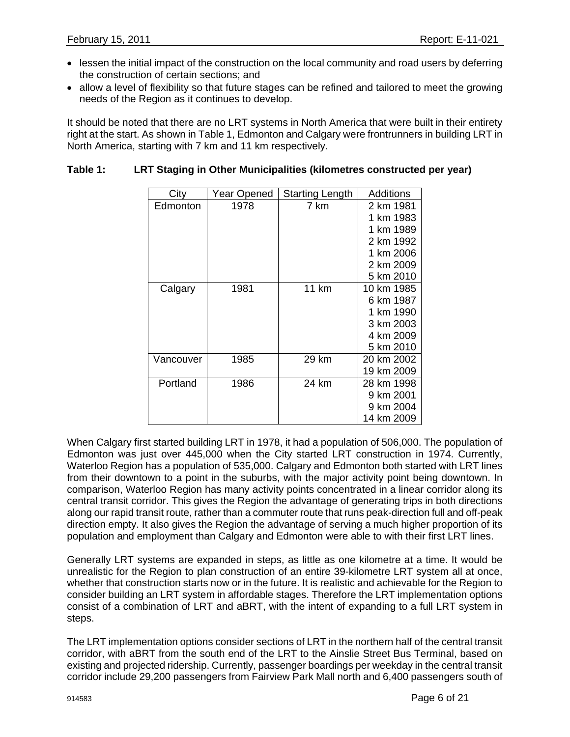- lessen the initial impact of the construction on the local community and road users by deferring the construction of certain sections; and
- allow a level of flexibility so that future stages can be refined and tailored to meet the growing needs of the Region as it continues to develop.

It should be noted that there are no LRT systems in North America that were built in their entirety right at the start. As shown in Table 1, Edmonton and Calgary were frontrunners in building LRT in North America, starting with 7 km and 11 km respectively.

### **Table 1: LRT Staging in Other Municipalities (kilometres constructed per year)**

| City      | Year Opened | <b>Starting Length</b> | Additions  |
|-----------|-------------|------------------------|------------|
| Edmonton  | 1978        | 7 km                   | 2 km 1981  |
|           |             |                        | 1 km 1983  |
|           |             |                        | 1 km 1989  |
|           |             |                        | 2 km 1992  |
|           |             |                        | 1 km 2006  |
|           |             |                        | 2 km 2009  |
|           |             |                        | 5 km 2010  |
| Calgary   | 1981        | <b>11 km</b>           | 10 km 1985 |
|           |             |                        | 6 km 1987  |
|           |             |                        | 1 km 1990  |
|           |             |                        | 3 km 2003  |
|           |             |                        | 4 km 2009  |
|           |             |                        | 5 km 2010  |
| Vancouver | 1985        | 29 km                  | 20 km 2002 |
|           |             |                        | 19 km 2009 |
| Portland  | 1986        | 24 km                  | 28 km 1998 |
|           |             |                        | 9 km 2001  |
|           |             |                        | 9 km 2004  |
|           |             |                        | 14 km 2009 |

When Calgary first started building LRT in 1978, it had a population of 506,000. The population of Edmonton was just over 445,000 when the City started LRT construction in 1974. Currently, Waterloo Region has a population of 535,000. Calgary and Edmonton both started with LRT lines from their downtown to a point in the suburbs, with the major activity point being downtown. In comparison, Waterloo Region has many activity points concentrated in a linear corridor along its central transit corridor. This gives the Region the advantage of generating trips in both directions along our rapid transit route, rather than a commuter route that runs peak-direction full and off-peak direction empty. It also gives the Region the advantage of serving a much higher proportion of its population and employment than Calgary and Edmonton were able to with their first LRT lines.

Generally LRT systems are expanded in steps, as little as one kilometre at a time. It would be unrealistic for the Region to plan construction of an entire 39-kilometre LRT system all at once, whether that construction starts now or in the future. It is realistic and achievable for the Region to consider building an LRT system in affordable stages. Therefore the LRT implementation options consist of a combination of LRT and aBRT, with the intent of expanding to a full LRT system in steps.

The LRT implementation options consider sections of LRT in the northern half of the central transit corridor, with aBRT from the south end of the LRT to the Ainslie Street Bus Terminal, based on existing and projected ridership. Currently, passenger boardings per weekday in the central transit corridor include 29,200 passengers from Fairview Park Mall north and 6,400 passengers south of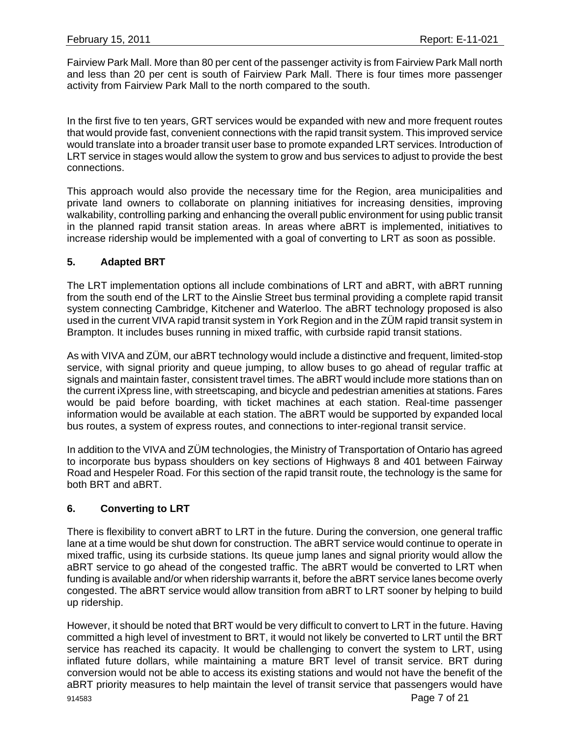Fairview Park Mall. More than 80 per cent of the passenger activity is from Fairview Park Mall north and less than 20 per cent is south of Fairview Park Mall. There is four times more passenger activity from Fairview Park Mall to the north compared to the south.

In the first five to ten years, GRT services would be expanded with new and more frequent routes that would provide fast, convenient connections with the rapid transit system. This improved service would translate into a broader transit user base to promote expanded LRT services. Introduction of LRT service in stages would allow the system to grow and bus services to adjust to provide the best connections.

This approach would also provide the necessary time for the Region, area municipalities and private land owners to collaborate on planning initiatives for increasing densities, improving walkability, controlling parking and enhancing the overall public environment for using public transit in the planned rapid transit station areas. In areas where aBRT is implemented, initiatives to increase ridership would be implemented with a goal of converting to LRT as soon as possible.

### **5. Adapted BRT**

The LRT implementation options all include combinations of LRT and aBRT, with aBRT running from the south end of the LRT to the Ainslie Street bus terminal providing a complete rapid transit system connecting Cambridge, Kitchener and Waterloo. The aBRT technology proposed is also used in the current VIVA rapid transit system in York Region and in the ZÜM rapid transit system in Brampton. It includes buses running in mixed traffic, with curbside rapid transit stations.

As with VIVA and ZÜM, our aBRT technology would include a distinctive and frequent, limited-stop service, with signal priority and queue jumping, to allow buses to go ahead of regular traffic at signals and maintain faster, consistent travel times. The aBRT would include more stations than on the current iXpress line, with streetscaping, and bicycle and pedestrian amenities at stations. Fares would be paid before boarding, with ticket machines at each station. Real-time passenger information would be available at each station. The aBRT would be supported by expanded local bus routes, a system of express routes, and connections to inter-regional transit service.

In addition to the VIVA and ZÜM technologies, the Ministry of Transportation of Ontario has agreed to incorporate bus bypass shoulders on key sections of Highways 8 and 401 between Fairway Road and Hespeler Road. For this section of the rapid transit route, the technology is the same for both BRT and aBRT.

## **6. Converting to LRT**

There is flexibility to convert aBRT to LRT in the future. During the conversion, one general traffic lane at a time would be shut down for construction. The aBRT service would continue to operate in mixed traffic, using its curbside stations. Its queue jump lanes and signal priority would allow the aBRT service to go ahead of the congested traffic. The aBRT would be converted to LRT when funding is available and/or when ridership warrants it, before the aBRT service lanes become overly congested. The aBRT service would allow transition from aBRT to LRT sooner by helping to build up ridership.

However, it should be noted that BRT would be very difficult to convert to LRT in the future. Having committed a high level of investment to BRT, it would not likely be converted to LRT until the BRT service has reached its capacity. It would be challenging to convert the system to LRT, using inflated future dollars, while maintaining a mature BRT level of transit service. BRT during conversion would not be able to access its existing stations and would not have the benefit of the aBRT priority measures to help maintain the level of transit service that passengers would have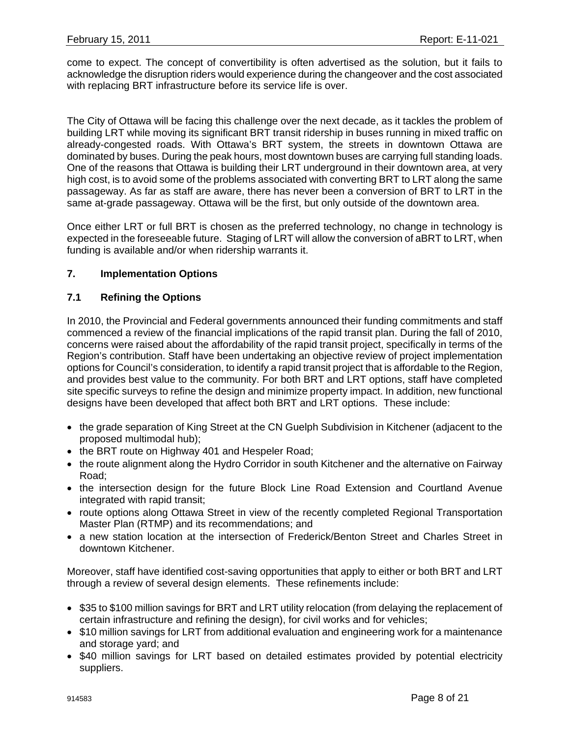come to expect. The concept of convertibility is often advertised as the solution, but it fails to acknowledge the disruption riders would experience during the changeover and the cost associated with replacing BRT infrastructure before its service life is over.

The City of Ottawa will be facing this challenge over the next decade, as it tackles the problem of building LRT while moving its significant BRT transit ridership in buses running in mixed traffic on already-congested roads. With Ottawa's BRT system, the streets in downtown Ottawa are dominated by buses. During the peak hours, most downtown buses are carrying full standing loads. One of the reasons that Ottawa is building their LRT underground in their downtown area, at very high cost, is to avoid some of the problems associated with converting BRT to LRT along the same passageway. As far as staff are aware, there has never been a conversion of BRT to LRT in the same at-grade passageway. Ottawa will be the first, but only outside of the downtown area.

Once either LRT or full BRT is chosen as the preferred technology, no change in technology is expected in the foreseeable future. Staging of LRT will allow the conversion of aBRT to LRT, when funding is available and/or when ridership warrants it.

### **7. Implementation Options**

### **7.1 Refining the Options**

In 2010, the Provincial and Federal governments announced their funding commitments and staff commenced a review of the financial implications of the rapid transit plan. During the fall of 2010, concerns were raised about the affordability of the rapid transit project, specifically in terms of the Region's contribution. Staff have been undertaking an objective review of project implementation options for Council's consideration, to identify a rapid transit project that is affordable to the Region, and provides best value to the community. For both BRT and LRT options, staff have completed site specific surveys to refine the design and minimize property impact. In addition, new functional designs have been developed that affect both BRT and LRT options. These include:

- the grade separation of King Street at the CN Guelph Subdivision in Kitchener (adjacent to the proposed multimodal hub);
- the BRT route on Highway 401 and Hespeler Road;
- the route alignment along the Hydro Corridor in south Kitchener and the alternative on Fairway Road;
- the intersection design for the future Block Line Road Extension and Courtland Avenue integrated with rapid transit;
- route options along Ottawa Street in view of the recently completed Regional Transportation Master Plan (RTMP) and its recommendations; and
- a new station location at the intersection of Frederick/Benton Street and Charles Street in downtown Kitchener.

Moreover, staff have identified cost-saving opportunities that apply to either or both BRT and LRT through a review of several design elements. These refinements include:

- \$35 to \$100 million savings for BRT and LRT utility relocation (from delaying the replacement of certain infrastructure and refining the design), for civil works and for vehicles;
- \$10 million savings for LRT from additional evaluation and engineering work for a maintenance and storage yard; and
- \$40 million savings for LRT based on detailed estimates provided by potential electricity suppliers.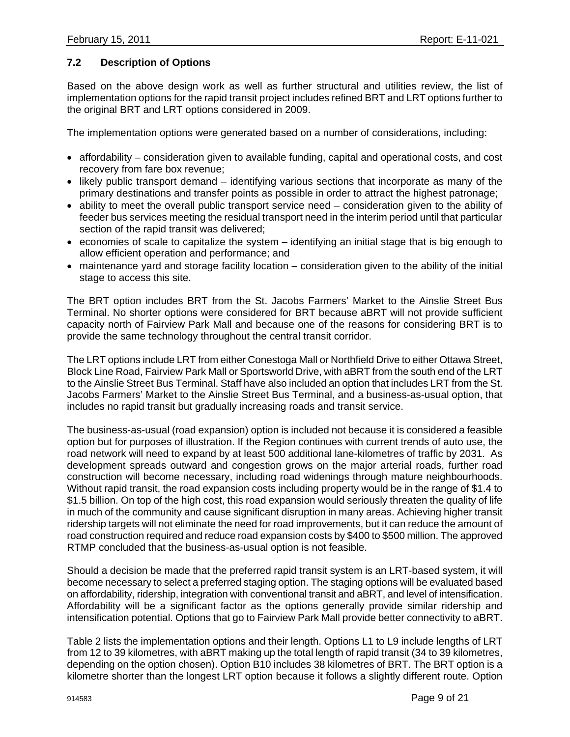### **7.2 Description of Options**

Based on the above design work as well as further structural and utilities review, the list of implementation options for the rapid transit project includes refined BRT and LRT options further to the original BRT and LRT options considered in 2009.

The implementation options were generated based on a number of considerations, including:

- affordability consideration given to available funding, capital and operational costs, and cost recovery from fare box revenue;
- likely public transport demand identifying various sections that incorporate as many of the primary destinations and transfer points as possible in order to attract the highest patronage;
- ability to meet the overall public transport service need consideration given to the ability of feeder bus services meeting the residual transport need in the interim period until that particular section of the rapid transit was delivered;
- economies of scale to capitalize the system identifying an initial stage that is big enough to allow efficient operation and performance; and
- maintenance yard and storage facility location consideration given to the ability of the initial stage to access this site.

The BRT option includes BRT from the St. Jacobs Farmers' Market to the Ainslie Street Bus Terminal. No shorter options were considered for BRT because aBRT will not provide sufficient capacity north of Fairview Park Mall and because one of the reasons for considering BRT is to provide the same technology throughout the central transit corridor.

The LRT options include LRT from either Conestoga Mall or Northfield Drive to either Ottawa Street, Block Line Road, Fairview Park Mall or Sportsworld Drive, with aBRT from the south end of the LRT to the Ainslie Street Bus Terminal. Staff have also included an option that includes LRT from the St. Jacobs Farmers' Market to the Ainslie Street Bus Terminal, and a business-as-usual option, that includes no rapid transit but gradually increasing roads and transit service.

The business-as-usual (road expansion) option is included not because it is considered a feasible option but for purposes of illustration. If the Region continues with current trends of auto use, the road network will need to expand by at least 500 additional lane-kilometres of traffic by 2031. As development spreads outward and congestion grows on the major arterial roads, further road construction will become necessary, including road widenings through mature neighbourhoods. Without rapid transit, the road expansion costs including property would be in the range of \$1.4 to \$1.5 billion. On top of the high cost, this road expansion would seriously threaten the quality of life in much of the community and cause significant disruption in many areas. Achieving higher transit ridership targets will not eliminate the need for road improvements, but it can reduce the amount of road construction required and reduce road expansion costs by \$400 to \$500 million. The approved RTMP concluded that the business-as-usual option is not feasible.

Should a decision be made that the preferred rapid transit system is an LRT-based system, it will become necessary to select a preferred staging option. The staging options will be evaluated based on affordability, ridership, integration with conventional transit and aBRT, and level of intensification. Affordability will be a significant factor as the options generally provide similar ridership and intensification potential. Options that go to Fairview Park Mall provide better connectivity to aBRT.

Table 2 lists the implementation options and their length. Options L1 to L9 include lengths of LRT from 12 to 39 kilometres, with aBRT making up the total length of rapid transit (34 to 39 kilometres, depending on the option chosen). Option B10 includes 38 kilometres of BRT. The BRT option is a kilometre shorter than the longest LRT option because it follows a slightly different route. Option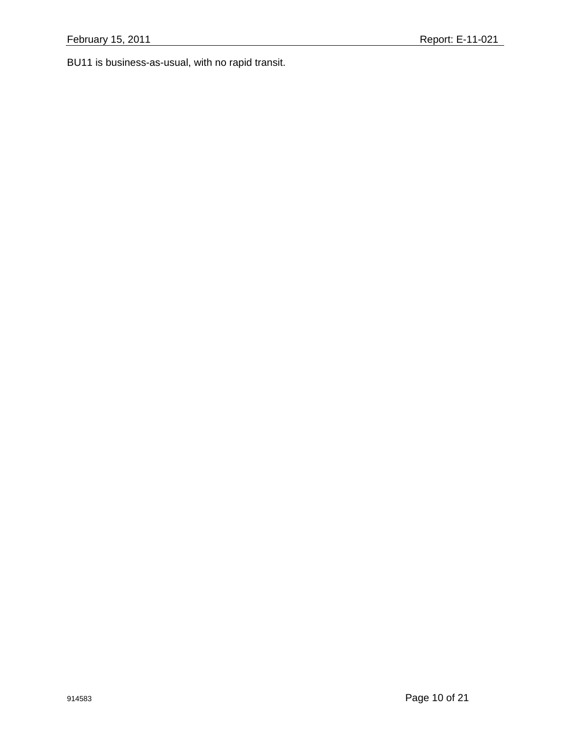BU11 is business-as-usual, with no rapid transit.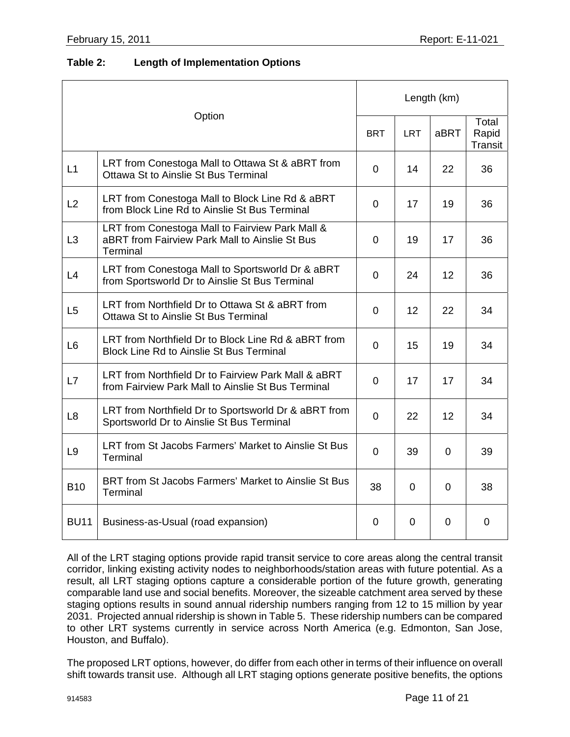### **Table 2: Length of Implementation Options**

| Option         |                                                                                                               | Length (km)    |             |                |                           |
|----------------|---------------------------------------------------------------------------------------------------------------|----------------|-------------|----------------|---------------------------|
|                |                                                                                                               | <b>BRT</b>     | <b>LRT</b>  | aBRT           | Total<br>Rapid<br>Transit |
| L1             | LRT from Conestoga Mall to Ottawa St & aBRT from<br>Ottawa St to Ainslie St Bus Terminal                      | $\overline{0}$ | 14          | 22             | 36                        |
| L2             | LRT from Conestoga Mall to Block Line Rd & aBRT<br>from Block Line Rd to Ainslie St Bus Terminal              | $\mathbf 0$    | 17          | 19             | 36                        |
| L <sub>3</sub> | LRT from Conestoga Mall to Fairview Park Mall &<br>aBRT from Fairview Park Mall to Ainslie St Bus<br>Terminal | 0              | 19          | 17             | 36                        |
| L4             | LRT from Conestoga Mall to Sportsworld Dr & aBRT<br>from Sportsworld Dr to Ainslie St Bus Terminal            | $\overline{0}$ | 24          | 12             | 36                        |
| L <sub>5</sub> | LRT from Northfield Dr to Ottawa St & aBRT from<br>Ottawa St to Ainslie St Bus Terminal                       | $\overline{0}$ | 12          | 22             | 34                        |
| L <sub>6</sub> | LRT from Northfield Dr to Block Line Rd & aBRT from<br><b>Block Line Rd to Ainslie St Bus Terminal</b>        | $\Omega$       | 15          | 19             | 34                        |
| L7             | LRT from Northfield Dr to Fairview Park Mall & aBRT<br>from Fairview Park Mall to Ainslie St Bus Terminal     | $\overline{0}$ | 17          | 17             | 34                        |
| L <sub>8</sub> | LRT from Northfield Dr to Sportsworld Dr & aBRT from<br>Sportsworld Dr to Ainslie St Bus Terminal             | $\overline{0}$ | 22          | 12             | 34                        |
| L <sub>9</sub> | LRT from St Jacobs Farmers' Market to Ainslie St Bus<br>Terminal                                              | $\mathbf 0$    | 39          | $\Omega$       | 39                        |
| <b>B10</b>     | BRT from St Jacobs Farmers' Market to Ainslie St Bus<br>Terminal                                              | 38             | $\mathbf 0$ | $\overline{0}$ | 38                        |
| <b>BU11</b>    | Business-as-Usual (road expansion)                                                                            | 0              | 0           | 0              | 0                         |

All of the LRT staging options provide rapid transit service to core areas along the central transit corridor, linking existing activity nodes to neighborhoods/station areas with future potential. As a result, all LRT staging options capture a considerable portion of the future growth, generating comparable land use and social benefits. Moreover, the sizeable catchment area served by these staging options results in sound annual ridership numbers ranging from 12 to 15 million by year 2031. Projected annual ridership is shown in Table 5. These ridership numbers can be compared to other LRT systems currently in service across North America (e.g. Edmonton, San Jose, Houston, and Buffalo).

The proposed LRT options, however, do differ from each other in terms of their influence on overall shift towards transit use. Although all LRT staging options generate positive benefits, the options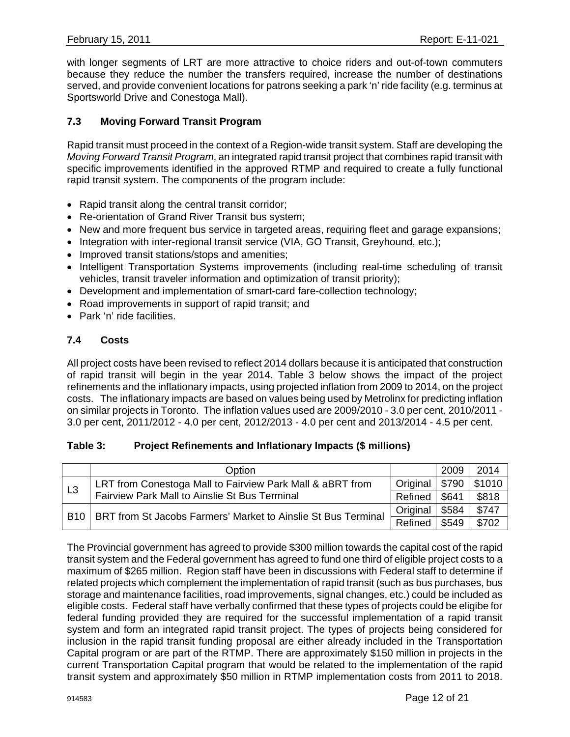with longer segments of LRT are more attractive to choice riders and out-of-town commuters because they reduce the number the transfers required, increase the number of destinations served, and provide convenient locations for patrons seeking a park 'n' ride facility (e.g. terminus at Sportsworld Drive and Conestoga Mall).

### **7.3 Moving Forward Transit Program**

Rapid transit must proceed in the context of a Region-wide transit system. Staff are developing the *Moving Forward Transit Program*, an integrated rapid transit project that combines rapid transit with specific improvements identified in the approved RTMP and required to create a fully functional rapid transit system. The components of the program include:

- Rapid transit along the central transit corridor;
- Re-orientation of Grand River Transit bus system;
- New and more frequent bus service in targeted areas, requiring fleet and garage expansions;
- Integration with inter-regional transit service (VIA, GO Transit, Greyhound, etc.);
- Improved transit stations/stops and amenities;
- Intelligent Transportation Systems improvements (including real-time scheduling of transit vehicles, transit traveler information and optimization of transit priority);
- Development and implementation of smart-card fare-collection technology;
- Road improvements in support of rapid transit; and
- Park 'n' ride facilities.

### **7.4 Costs**

All project costs have been revised to reflect 2014 dollars because it is anticipated that construction of rapid transit will begin in the year 2014. Table 3 below shows the impact of the project refinements and the inflationary impacts, using projected inflation from 2009 to 2014, on the project costs. The inflationary impacts are based on values being used by Metrolinx for predicting inflation on similar projects in Toronto. The inflation values used are 2009/2010 - 3.0 per cent, 2010/2011 - 3.0 per cent, 2011/2012 - 4.0 per cent, 2012/2013 - 4.0 per cent and 2013/2014 - 4.5 per cent.

#### **Table 3: Project Refinements and Inflationary Impacts (\$ millions)**

|             | Option                                                                                                     |  | 2009  | 2014   |
|-------------|------------------------------------------------------------------------------------------------------------|--|-------|--------|
| L3          | LRT from Conestoga Mall to Fairview Park Mall & aBRT from<br>Fairview Park Mall to Ainslie St Bus Terminal |  | \$790 | \$1010 |
|             |                                                                                                            |  | \$641 | \$818  |
| <b>B</b> 10 | BRT from St Jacobs Farmers' Market to Ainslie St Bus Terminal                                              |  | \$584 | \$747  |
|             |                                                                                                            |  | \$549 | \$702  |

The Provincial government has agreed to provide \$300 million towards the capital cost of the rapid transit system and the Federal government has agreed to fund one third of eligible project costs to a maximum of \$265 million. Region staff have been in discussions with Federal staff to determine if related projects which complement the implementation of rapid transit (such as bus purchases, bus storage and maintenance facilities, road improvements, signal changes, etc.) could be included as eligible costs. Federal staff have verbally confirmed that these types of projects could be eligibe for federal funding provided they are required for the successful implementation of a rapid transit system and form an integrated rapid transit project. The types of projects being considered for inclusion in the rapid transit funding proposal are either already included in the Transportation Capital program or are part of the RTMP. There are approximately \$150 million in projects in the current Transportation Capital program that would be related to the implementation of the rapid transit system and approximately \$50 million in RTMP implementation costs from 2011 to 2018.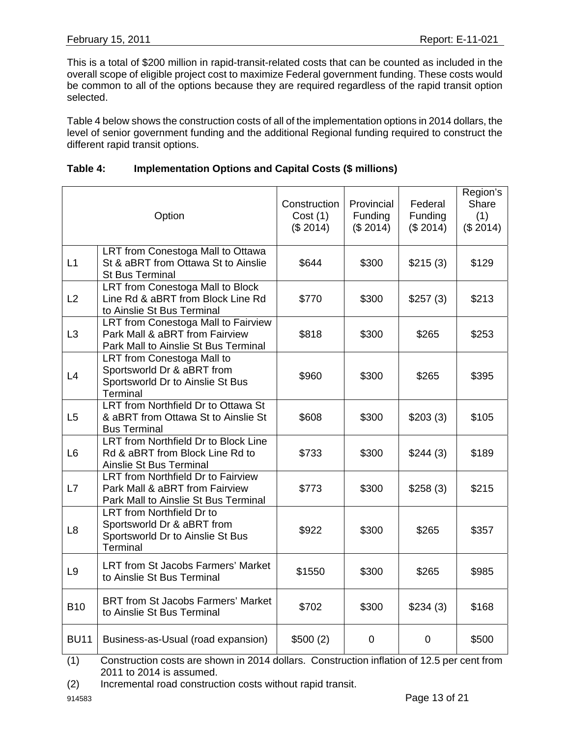This is a total of \$200 million in rapid-transit-related costs that can be counted as included in the overall scope of eligible project cost to maximize Federal government funding. These costs would be common to all of the options because they are required regardless of the rapid transit option selected.

Table 4 below shows the construction costs of all of the implementation options in 2014 dollars, the level of senior government funding and the additional Regional funding required to construct the different rapid transit options.

| Option         |                                                                                                               | Construction<br>Cost(1)<br>(\$2014) | Provincial<br>Funding<br>(\$2014) | Federal<br>Funding<br>(\$2014) | Region's<br>Share<br>(1)<br>(\$2014) |
|----------------|---------------------------------------------------------------------------------------------------------------|-------------------------------------|-----------------------------------|--------------------------------|--------------------------------------|
| L1             | LRT from Conestoga Mall to Ottawa<br>St & aBRT from Ottawa St to Ainslie<br><b>St Bus Terminal</b>            | \$644                               | \$300                             | \$215(3)                       | \$129                                |
| L2             | LRT from Conestoga Mall to Block<br>Line Rd & aBRT from Block Line Rd<br>to Ainslie St Bus Terminal           | \$770                               | \$300                             | \$257(3)                       | \$213                                |
| L3             | LRT from Conestoga Mall to Fairview<br>Park Mall & aBRT from Fairview<br>Park Mall to Ainslie St Bus Terminal | \$818                               | \$300                             | \$265                          | \$253                                |
| L4             | LRT from Conestoga Mall to<br>Sportsworld Dr & aBRT from<br>Sportsworld Dr to Ainslie St Bus<br>Terminal      | \$960                               | \$300                             | \$265                          | \$395                                |
| L <sub>5</sub> | LRT from Northfield Dr to Ottawa St<br>& aBRT from Ottawa St to Ainslie St<br><b>Bus Terminal</b>             | \$608                               | \$300                             | \$203(3)                       | \$105                                |
| L <sub>6</sub> | LRT from Northfield Dr to Block Line<br>Rd & aBRT from Block Line Rd to<br>Ainslie St Bus Terminal            | \$733                               | \$300                             | \$244(3)                       | \$189                                |
| L7             | LRT from Northfield Dr to Fairview<br>Park Mall & aBRT from Fairview<br>Park Mall to Ainslie St Bus Terminal  | \$773                               | \$300                             | \$258(3)                       | \$215                                |
| L <sub>8</sub> | LRT from Northfield Dr to<br>Sportsworld Dr & aBRT from<br>Sportsworld Dr to Ainslie St Bus<br>Terminal       | \$922                               | \$300                             | \$265                          | \$357                                |
| L <sub>9</sub> | <b>LRT from St Jacobs Farmers' Market</b><br>to Ainslie St Bus Terminal                                       | \$1550                              | \$300                             | \$265                          | \$985                                |
| <b>B10</b>     | <b>BRT from St Jacobs Farmers' Market</b><br>to Ainslie St Bus Terminal                                       | \$702                               | \$300                             | \$234(3)                       | \$168                                |
| <b>BU11</b>    | Business-as-Usual (road expansion)                                                                            | \$500(2)                            | 0                                 | $\mathbf 0$                    | \$500                                |

## **Table 4: Implementation Options and Capital Costs (\$ millions)**

(1) Construction costs are shown in 2014 dollars. Construction inflation of 12.5 per cent from 2011 to 2014 is assumed.

(2) Incremental road construction costs without rapid transit.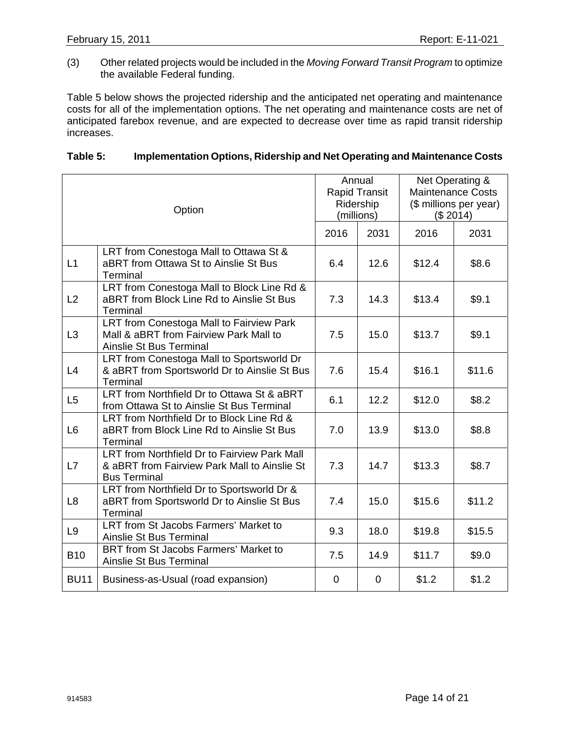(3) Other related projects would be included in the *Moving Forward Transit Program* to optimize the available Federal funding.

Table 5 below shows the projected ridership and the anticipated net operating and maintenance costs for all of the implementation options. The net operating and maintenance costs are net of anticipated farebox revenue, and are expected to decrease over time as rapid transit ridership increases.

#### **Table 5: Implementation Options, Ridership and Net Operating and Maintenance Costs**

| Option         |                                                                                                                     | Annual<br><b>Rapid Transit</b><br>Ridership<br>(millions) |                | Net Operating &<br><b>Maintenance Costs</b><br>(\$ millions per year)<br>(\$2014) |        |
|----------------|---------------------------------------------------------------------------------------------------------------------|-----------------------------------------------------------|----------------|-----------------------------------------------------------------------------------|--------|
|                |                                                                                                                     | 2016                                                      | 2031           | 2016                                                                              | 2031   |
| L1             | LRT from Conestoga Mall to Ottawa St &<br>aBRT from Ottawa St to Ainslie St Bus<br>Terminal                         | 6.4                                                       | 12.6           | \$12.4                                                                            | \$8.6  |
| L2             | LRT from Conestoga Mall to Block Line Rd &<br>aBRT from Block Line Rd to Ainslie St Bus<br>Terminal                 | 7.3                                                       | 14.3           | \$13.4                                                                            | \$9.1  |
| L <sub>3</sub> | LRT from Conestoga Mall to Fairview Park<br>Mall & aBRT from Fairview Park Mall to<br>Ainslie St Bus Terminal       | 7.5                                                       | 15.0           | \$13.7                                                                            | \$9.1  |
| L4             | LRT from Conestoga Mall to Sportsworld Dr<br>& aBRT from Sportsworld Dr to Ainslie St Bus<br>Terminal               | 7.6                                                       | 15.4           | \$16.1                                                                            | \$11.6 |
| L <sub>5</sub> | LRT from Northfield Dr to Ottawa St & aBRT<br>from Ottawa St to Ainslie St Bus Terminal                             | 6.1                                                       | 12.2           | \$12.0                                                                            | \$8.2  |
| L <sub>6</sub> | LRT from Northfield Dr to Block Line Rd &<br>aBRT from Block Line Rd to Ainslie St Bus<br>Terminal                  | 7.0                                                       | 13.9           | \$13.0                                                                            | \$8.8  |
| L7             | LRT from Northfield Dr to Fairview Park Mall<br>& aBRT from Fairview Park Mall to Ainslie St<br><b>Bus Terminal</b> | 7.3                                                       | 14.7           | \$13.3                                                                            | \$8.7  |
| L <sub>8</sub> | LRT from Northfield Dr to Sportsworld Dr &<br>aBRT from Sportsworld Dr to Ainslie St Bus<br>Terminal                | 7.4                                                       | 15.0           | \$15.6                                                                            | \$11.2 |
| L <sub>9</sub> | LRT from St Jacobs Farmers' Market to<br>Ainslie St Bus Terminal                                                    | 9.3                                                       | 18.0           | \$19.8                                                                            | \$15.5 |
| <b>B10</b>     | BRT from St Jacobs Farmers' Market to<br>Ainslie St Bus Terminal                                                    | 7.5                                                       | 14.9           | \$11.7                                                                            | \$9.0  |
| <b>BU11</b>    | Business-as-Usual (road expansion)                                                                                  | 0                                                         | $\overline{0}$ | \$1.2                                                                             | \$1.2  |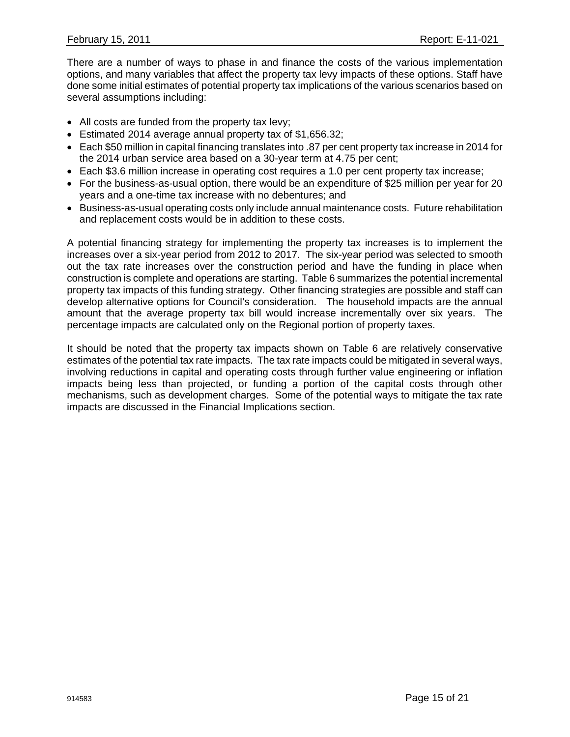There are a number of ways to phase in and finance the costs of the various implementation options, and many variables that affect the property tax levy impacts of these options. Staff have done some initial estimates of potential property tax implications of the various scenarios based on several assumptions including:

- All costs are funded from the property tax levy;
- Estimated 2014 average annual property tax of \$1,656.32;
- Each \$50 million in capital financing translates into .87 per cent property tax increase in 2014 for the 2014 urban service area based on a 30-year term at 4.75 per cent;
- Each \$3.6 million increase in operating cost requires a 1.0 per cent property tax increase;
- For the business-as-usual option, there would be an expenditure of \$25 million per year for 20 years and a one-time tax increase with no debentures; and
- Business-as-usual operating costs only include annual maintenance costs. Future rehabilitation and replacement costs would be in addition to these costs.

A potential financing strategy for implementing the property tax increases is to implement the increases over a six-year period from 2012 to 2017. The six-year period was selected to smooth out the tax rate increases over the construction period and have the funding in place when construction is complete and operations are starting. Table 6 summarizes the potential incremental property tax impacts of this funding strategy. Other financing strategies are possible and staff can develop alternative options for Council's consideration. The household impacts are the annual amount that the average property tax bill would increase incrementally over six years. The percentage impacts are calculated only on the Regional portion of property taxes.

It should be noted that the property tax impacts shown on Table 6 are relatively conservative estimates of the potential tax rate impacts. The tax rate impacts could be mitigated in several ways, involving reductions in capital and operating costs through further value engineering or inflation impacts being less than projected, or funding a portion of the capital costs through other mechanisms, such as development charges. Some of the potential ways to mitigate the tax rate impacts are discussed in the Financial Implications section.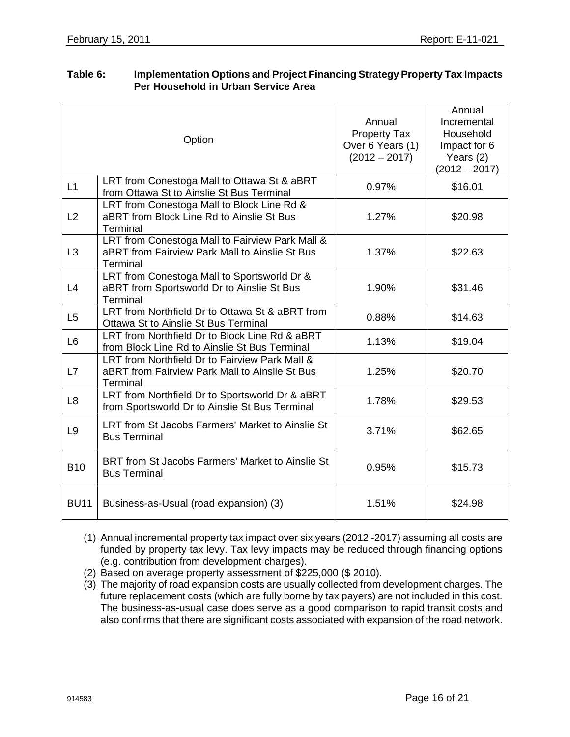|                | Option                                                                                                        | Annual<br><b>Property Tax</b><br>Over 6 Years (1)<br>$(2012 - 2017)$ | Annual<br>Incremental<br>Household<br>Impact for 6<br>Years $(2)$<br>$(2012 - 2017)$ |
|----------------|---------------------------------------------------------------------------------------------------------------|----------------------------------------------------------------------|--------------------------------------------------------------------------------------|
| L1             | LRT from Conestoga Mall to Ottawa St & aBRT<br>from Ottawa St to Ainslie St Bus Terminal                      | 0.97%                                                                | \$16.01                                                                              |
| L2             | LRT from Conestoga Mall to Block Line Rd &<br>aBRT from Block Line Rd to Ainslie St Bus<br>Terminal           | 1.27%                                                                | \$20.98                                                                              |
| L <sub>3</sub> | LRT from Conestoga Mall to Fairview Park Mall &<br>aBRT from Fairview Park Mall to Ainslie St Bus<br>Terminal | 1.37%                                                                | \$22.63                                                                              |
| L4             | LRT from Conestoga Mall to Sportsworld Dr &<br>aBRT from Sportsworld Dr to Ainslie St Bus<br>Terminal         | 1.90%                                                                | \$31.46                                                                              |
| L5             | LRT from Northfield Dr to Ottawa St & aBRT from<br>Ottawa St to Ainslie St Bus Terminal                       | 0.88%                                                                | \$14.63                                                                              |
| L <sub>6</sub> | LRT from Northfield Dr to Block Line Rd & aBRT<br>from Block Line Rd to Ainslie St Bus Terminal               | 1.13%                                                                | \$19.04                                                                              |
| L7             | LRT from Northfield Dr to Fairview Park Mall &<br>aBRT from Fairview Park Mall to Ainslie St Bus<br>Terminal  | 1.25%                                                                | \$20.70                                                                              |
| L <sub>8</sub> | LRT from Northfield Dr to Sportsworld Dr & aBRT<br>from Sportsworld Dr to Ainslie St Bus Terminal             | 1.78%                                                                | \$29.53                                                                              |
| L <sub>9</sub> | LRT from St Jacobs Farmers' Market to Ainslie St<br><b>Bus Terminal</b>                                       | 3.71%                                                                | \$62.65                                                                              |
| <b>B10</b>     | BRT from St Jacobs Farmers' Market to Ainslie St<br><b>Bus Terminal</b>                                       | 0.95%                                                                | \$15.73                                                                              |
| <b>BU11</b>    | Business-as-Usual (road expansion) (3)                                                                        | 1.51%                                                                | \$24.98                                                                              |
|                |                                                                                                               |                                                                      |                                                                                      |

#### **Table 6: Implementation Options and Project Financing Strategy Property Tax Impacts Per Household in Urban Service Area**

- (1) Annual incremental property tax impact over six years (2012 -2017) assuming all costs are funded by property tax levy. Tax levy impacts may be reduced through financing options (e.g. contribution from development charges).
- (2) Based on average property assessment of \$225,000 (\$ 2010).
- (3) The majority of road expansion costs are usually collected from development charges. The future replacement costs (which are fully borne by tax payers) are not included in this cost. The business-as-usual case does serve as a good comparison to rapid transit costs and also confirms that there are significant costs associated with expansion of the road network.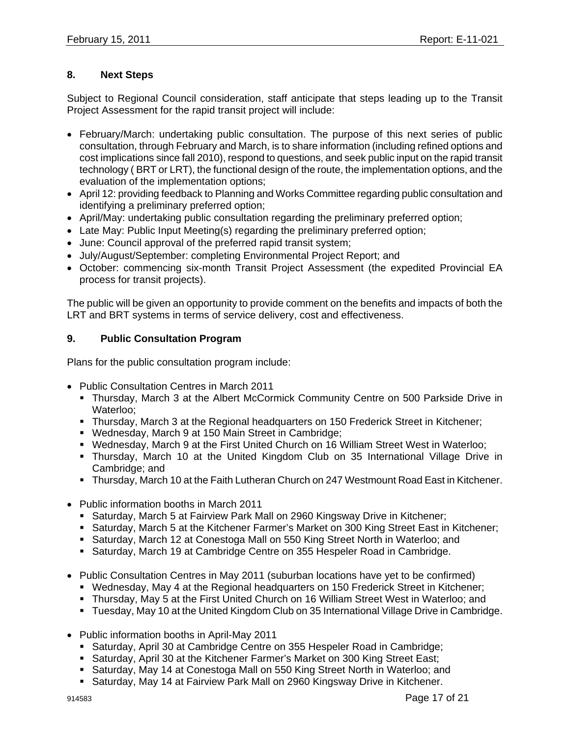## **8. Next Steps**

Subject to Regional Council consideration, staff anticipate that steps leading up to the Transit Project Assessment for the rapid transit project will include:

- February/March: undertaking public consultation. The purpose of this next series of public consultation, through February and March, is to share information (including refined options and cost implications since fall 2010), respond to questions, and seek public input on the rapid transit technology ( BRT or LRT), the functional design of the route, the implementation options, and the evaluation of the implementation options;
- April 12: providing feedback to Planning and Works Committee regarding public consultation and identifying a preliminary preferred option;
- April/May: undertaking public consultation regarding the preliminary preferred option;
- Late May: Public Input Meeting(s) regarding the preliminary preferred option;
- June: Council approval of the preferred rapid transit system;
- July/August/September: completing Environmental Project Report; and
- October: commencing six-month Transit Project Assessment (the expedited Provincial EA process for transit projects).

The public will be given an opportunity to provide comment on the benefits and impacts of both the LRT and BRT systems in terms of service delivery, cost and effectiveness.

## **9. Public Consultation Program**

Plans for the public consultation program include:

- Public Consultation Centres in March 2011
	- Thursday, March 3 at the Albert McCormick Community Centre on 500 Parkside Drive in Waterloo;
	- Thursday, March 3 at the Regional headquarters on 150 Frederick Street in Kitchener;
	- Wednesday, March 9 at 150 Main Street in Cambridge;
	- Wednesday, March 9 at the First United Church on 16 William Street West in Waterloo;
	- Thursday, March 10 at the United Kingdom Club on 35 International Village Drive in Cambridge; and
	- Thursday, March 10 at the Faith Lutheran Church on 247 Westmount Road East in Kitchener.
- Public information booths in March 2011
	- Saturday, March 5 at Fairview Park Mall on 2960 Kingsway Drive in Kitchener;
	- Saturday, March 5 at the Kitchener Farmer's Market on 300 King Street East in Kitchener;
	- Saturday, March 12 at Conestoga Mall on 550 King Street North in Waterloo; and
	- **Saturday, March 19 at Cambridge Centre on 355 Hespeler Road in Cambridge.**
- Public Consultation Centres in May 2011 (suburban locations have yet to be confirmed)
	- Wednesday, May 4 at the Regional headquarters on 150 Frederick Street in Kitchener;
	- Thursday, May 5 at the First United Church on 16 William Street West in Waterloo; and
	- Tuesday, May 10 at the United Kingdom Club on 35 International Village Drive in Cambridge.
- Public information booths in April-May 2011
	- Saturday, April 30 at Cambridge Centre on 355 Hespeler Road in Cambridge;
	- Saturday, April 30 at the Kitchener Farmer's Market on 300 King Street East;
	- Saturday, May 14 at Conestoga Mall on 550 King Street North in Waterloo; and
	- Saturday, May 14 at Fairview Park Mall on 2960 Kingsway Drive in Kitchener.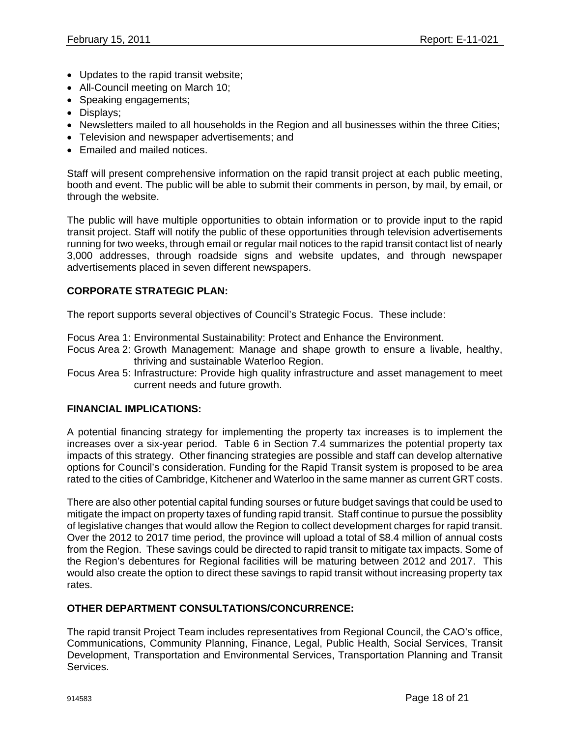- Updates to the rapid transit website;
- All-Council meeting on March 10;
- Speaking engagements;
- Displays;
- Newsletters mailed to all households in the Region and all businesses within the three Cities;
- Television and newspaper advertisements; and
- Emailed and mailed notices.

Staff will present comprehensive information on the rapid transit project at each public meeting, booth and event. The public will be able to submit their comments in person, by mail, by email, or through the website.

The public will have multiple opportunities to obtain information or to provide input to the rapid transit project. Staff will notify the public of these opportunities through television advertisements running for two weeks, through email or regular mail notices to the rapid transit contact list of nearly 3,000 addresses, through roadside signs and website updates, and through newspaper advertisements placed in seven different newspapers.

### **CORPORATE STRATEGIC PLAN:**

The report supports several objectives of Council's Strategic Focus. These include:

Focus Area 1: Environmental Sustainability: Protect and Enhance the Environment.

- Focus Area 2: Growth Management: Manage and shape growth to ensure a livable, healthy, thriving and sustainable Waterloo Region.
- Focus Area 5: Infrastructure: Provide high quality infrastructure and asset management to meet current needs and future growth.

#### **FINANCIAL IMPLICATIONS:**

A potential financing strategy for implementing the property tax increases is to implement the increases over a six-year period. Table 6 in Section 7.4 summarizes the potential property tax impacts of this strategy. Other financing strategies are possible and staff can develop alternative options for Council's consideration. Funding for the Rapid Transit system is proposed to be area rated to the cities of Cambridge, Kitchener and Waterloo in the same manner as current GRT costs.

There are also other potential capital funding sourses or future budget savings that could be used to mitigate the impact on property taxes of funding rapid transit. Staff continue to pursue the possiblity of legislative changes that would allow the Region to collect development charges for rapid transit. Over the 2012 to 2017 time period, the province will upload a total of \$8.4 million of annual costs from the Region. These savings could be directed to rapid transit to mitigate tax impacts. Some of the Region's debentures for Regional facilities will be maturing between 2012 and 2017. This would also create the option to direct these savings to rapid transit without increasing property tax rates.

#### **OTHER DEPARTMENT CONSULTATIONS/CONCURRENCE:**

The rapid transit Project Team includes representatives from Regional Council, the CAO's office, Communications, Community Planning, Finance, Legal, Public Health, Social Services, Transit Development, Transportation and Environmental Services, Transportation Planning and Transit Services.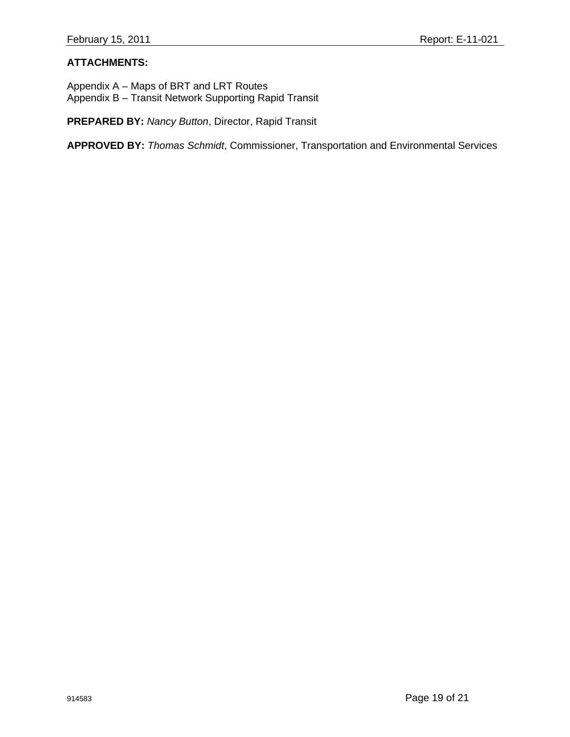## **ATTACHMENTS:**

Appendix A – Maps of BRT and LRT Routes Appendix B – Transit Network Supporting Rapid Transit

**PREPARED BY:** *Nancy Button*, Director, Rapid Transit

**APPROVED BY:** *Thomas Schmidt*, Commissioner, Transportation and Environmental Services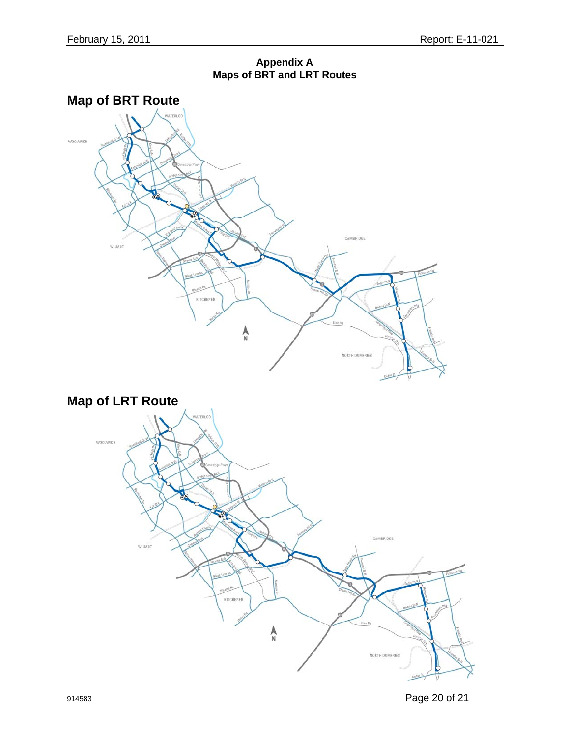**Appendix A Maps of BRT and LRT Routes**